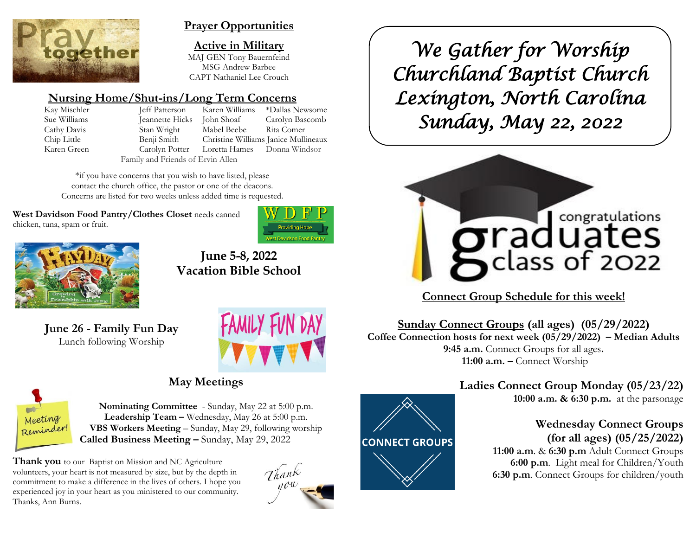

## **Prayer Opportunities**

**Active in Military** MAJ GEN Tony Bauernfeind MSG Andrew Barbee CAPT Nathaniel Lee Crouch

# **Nursing Home/Shut-ins/Long Term Concerns**

Kay Mischler Jeff Patterson Karen Williams \*Dallas Newsome Sue Williams Jeannette Hicks John Shoaf Carolyn Bascomb Cathy Davis Stan Wright Mabel Beebe Rita Comer Chip Little Benji Smith Christine Williams Janice Mullineaux Karen Green Carolyn Potter Loretta Hames Donna Windsor Family and Friends of Ervin Allen

\*if you have concerns that you wish to have listed, please contact the church office, the pastor or one of the deacons. Concerns are listed for two weeks unless added time is requested.

**West Davidson Food Pantry/Clothes Closet** needs canned chicken, tuna, spam or fruit.





**June 5-8, 2022 Vacation Bible School**

**June 26 - Family Fun Day** Lunch following Worship



# **May Meetings**



**Nominating Committee** - Sunday, May 22 at 5:00 p.m. **Leadership Team –** Wednesday, May 26 at 5:00 p.m. **VBS Workers Meeting** – Sunday, May 29, following worship **Called Business Meeting –** Sunday, May 29, 2022

**Thank you** to our Baptist on Mission and NC Agriculture volunteers, your heart is not measured by size, but by the depth in commitment to make a difference in the lives of others. I hope you experienced joy in your heart as you ministered to our community. Thanks, Ann Burns.



**CONNECT GROUPS** 

*We Gather for Worship Churchland Baptist Church Lexington, North Carolina Sunday, May 22, 2022* 



**Connect Group Schedule for this week!**

**Sunday Connect Groups (all ages) (05/29/2022) Coffee Connection hosts for next week (05/29/2022) – Median Adults 9:45 a.m.** Connect Groups for all ages**. 11:00 a.m. –** Connect Worship

# **Ladies Connect Group Monday (05/23/22)**

**10:00 a.m. & 6:30 p.m.** at the parsonage

## **Wednesday Connect Groups (for all ages) (05/25/2022)**

 **11:00 a.m**. & **6:30 p.m** Adult Connect Groups  **6:00 p.m**. Light meal for Children/Youth **6:30 p.m**. Connect Groups for children/youth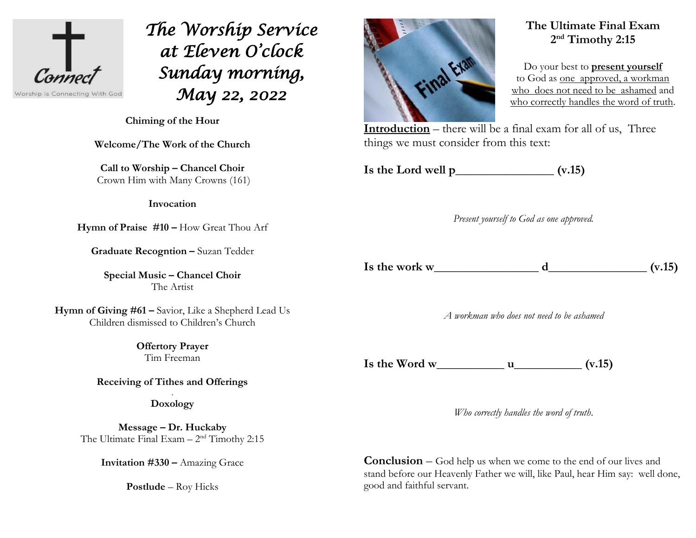

*The Worship Service at Eleven O'clock Sunday morning, May 22, 2022* 

**Chiming of the Hour**

**Welcome/The Work of the Church**

**Call to Worship – Chancel Choir** Crown Him with Many Crowns (161)

**Invocation**

**Hymn of Praise #10 –** How Great Thou Arf

**Graduate Recogntion –** Suzan Tedder

**Special Music – Chancel Choir** The Artist

**Hymn of Giving #61 –** Savior, Like a Shepherd Lead Us Children dismissed to Children's Church

> **Offertory Prayer**  Tim Freeman

**Receiving of Tithes and Offerings**

. **Doxology**

**Message – Dr. Huckaby** The Ultimate Final  $Example_2$ <sup>nd</sup> Timothy 2:15

**Invitation #330 –** Amazing Grace

**Postlude** – Roy Hicks



# **The Ultimate Final Exam 2 nd Timothy 2:15**

Do your best to **present yourself** to God as one approved, a workman who does not need to be ashamed and who correctly handles the word of truth.

**Introduction** – there will be a final exam for all of us, Three things we must consider from this text:

**Is the Lord well p\_\_\_\_\_\_\_\_\_\_\_\_\_\_\_\_ (v.15)** 

*Present yourself to God as one approved.*

Is the work w  $\frac{d}{dx}$  (v.15)

*A workman who does not need to be ashamed*

Is the Word w  $\qquad \qquad$  u  $\qquad \qquad$  (v.15)

*Who correctly handles the word of truth*.

**Conclusion** – God help us when we come to the end of our lives and stand before our Heavenly Father we will, like Paul, hear Him say: well done, good and faithful servant.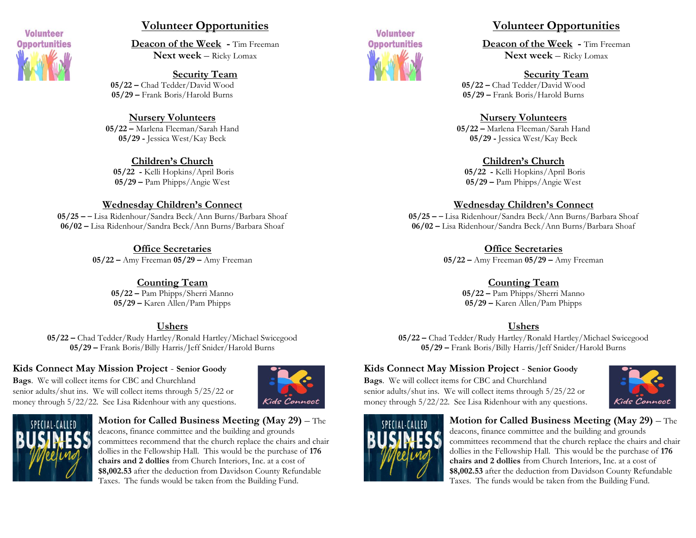

### **Volunteer Opportunities**

**Deacon of the Week -** Tim Freeman **Next week** – Ricky Lomax

**Security Team 05/22 –** Chad Tedder/David Wood **05/29 –** Frank Boris/Harold Burns

**Nursery Volunteers 05/22 –** Marlena Fleeman/Sarah Hand **05/29 -** Jessica West/Kay Beck

**Children's Church 05/22 -** Kelli Hopkins/April Boris **05/29 –** Pam Phipps/Angie West

#### **Wednesday Children's Connect**

**05/25 –** – Lisa Ridenhour/Sandra Beck/Ann Burns/Barbara Shoaf **06/02 –** Lisa Ridenhour/Sandra Beck/Ann Burns/Barbara Shoaf

> **Office Secretaries 05/22 –** Amy Freeman **05/29 –** Amy Freeman

> > **Counting Team 05/22 –** Pam Phipps/Sherri Manno **05/29 –** Karen Allen/Pam Phipps

#### **Ushers**

**05/22 –** Chad Tedder/Rudy Hartley/Ronald Hartley/Michael Swicegood **05/29 –** Frank Boris/Billy Harris/Jeff Snider/Harold Burns

#### **Kids Connect May Mission Project** - **Senior Goody**

**Bags**. We will collect items for CBC and Churchland senior adults/shut ins. We will collect items through 5/25/22 or money through 5/22/22. See Lisa Ridenhour with any questions.





#### **Motion for Called Business Meeting (May 29)** – The deacons, finance committee and the building and grounds committees recommend that the church replace the chairs and chair dollies in the Fellowship Hall. This would be the purchase of **176 chairs and 2 dollies** from Church Interiors, Inc. at a cost of **\$8,002.53** after the deduction from Davidson County Refundable Taxes. The funds would be taken from the Building Fund.



### **Volunteer Opportunities**

**Deacon of the Week -** Tim Freeman **Next week** – Ricky Lomax

**Security Team**

**05/22 –** Chad Tedder/David Wood **05/29 –** Frank Boris/Harold Burns

#### **Nursery Volunteers**

**05/22 –** Marlena Fleeman/Sarah Hand **05/29 -** Jessica West/Kay Beck

#### **Children's Church**

**05/22 -** Kelli Hopkins/April Boris **05/29 –** Pam Phipps/Angie West

#### **Wednesday Children's Connect**

**05/25 –** – Lisa Ridenhour/Sandra Beck/Ann Burns/Barbara Shoaf **06/02 –** Lisa Ridenhour/Sandra Beck/Ann Burns/Barbara Shoaf

**Office Secretaries**

**05/22 –** Amy Freeman **05/29 –** Amy Freeman

### **Counting Team**

**05/22 –** Pam Phipps/Sherri Manno **05/29 –** Karen Allen/Pam Phipps

### **Ushers**

**05/22 –** Chad Tedder/Rudy Hartley/Ronald Hartley/Michael Swicegood **05/29 –** Frank Boris/Billy Harris/Jeff Snider/Harold Burns

### **Kids Connect May Mission Project** - **Senior Goody**

**Bags**. We will collect items for CBC and Churchland senior adults/shut ins. We will collect items through 5/25/22 or money through 5/22/22. See Lisa Ridenhour with any questions.





#### **Motion for Called Business Meeting (May 29)** – The

deacons, finance committee and the building and grounds committees recommend that the church replace the chairs and chair dollies in the Fellowship Hall. This would be the purchase of **176 chairs and 2 dollies** from Church Interiors, Inc. at a cost of **\$8,002.53** after the deduction from Davidson County Refundable Taxes. The funds would be taken from the Building Fund.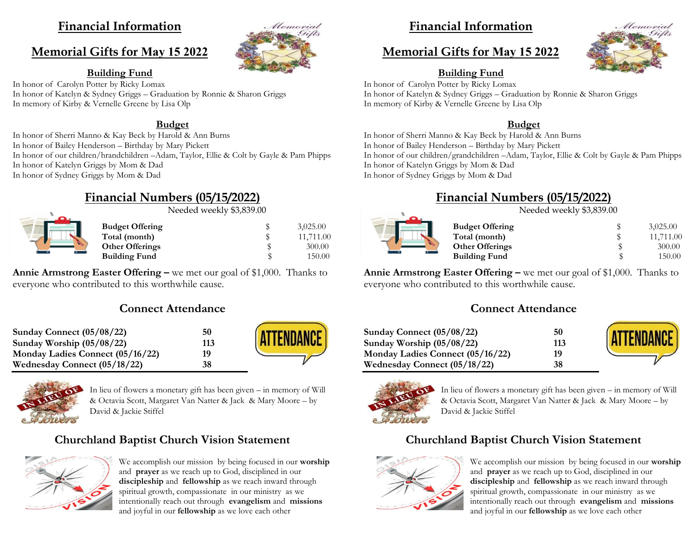## **Financial Information**

## **Memorial Gifts for May 15 2022**



**Building Fund** In honor of Carolyn Potter by Ricky Lomax In honor of Katelyn & Sydney Griggs – Graduation by Ronnie & Sharon Griggs

In memory of Kirby & Vernelle Greene by Lisa Olp

#### **Budget**

In honor of Sherri Manno & Kay Beck by Harold & Ann Burns In honor of Bailey Henderson – Birthday by Mary Pickett In honor of our children/hrandchildren –Adam, Taylor, Ellie & Colt by Gayle & Pam Phipps In honor of Katelyn Griggs by Mom & Dad In honor of Sydney Griggs by Mom & Dad

# **Financial Numbers (05/15/2022)**

Needed weekly \$3,839.00

|  | <b>Budget Offering</b><br>Total (month)        | 3,025.00<br>11,711.00 |
|--|------------------------------------------------|-----------------------|
|  | <b>Other Offerings</b><br><b>Building Fund</b> | 300.00<br>150.00      |
|  |                                                |                       |

**Annie Armstrong Easter Offering –** we met our goal of \$1,000. Thanks to everyone who contributed to this worthwhile cause.

## **Connect Attendance**

| Sunday Connect $(05/08/22)$      | 50  | <b>ATTENDANCE</b> |
|----------------------------------|-----|-------------------|
| Sunday Worship $(05/08/22)$      | 113 |                   |
| Monday Ladies Connect (05/16/22) | 19  |                   |
| Wednesday Connect (05/18/22)     | 38  |                   |



In lieu of flowers a monetary gift has been given – in memory of Will & Octavia Scott, Margaret Van Natter & Jack & Mary Moore – by David & Jackie Stiffel

## **Churchland Baptist Church Vision Statement**



We accomplish our mission by being focused in our **worship** and **prayer** as we reach up to God, disciplined in our **discipleship** and **fellowship** as we reach inward through spiritual growth, compassionate in our ministry as we intentionally reach out through **evangelism** and **missions** and joyful in our **fellowship** as we love each other

# **Financial Information**

# **Memorial Gifts for May 15 2022**



## **Building Fund**

In honor of Carolyn Potter by Ricky Lomax In honor of Katelyn & Sydney Griggs – Graduation by Ronnie & Sharon Griggs In memory of Kirby & Vernelle Greene by Lisa Olp

### **Budget**

In honor of Sherri Manno & Kay Beck by Harold & Ann Burns In honor of Bailey Henderson – Birthday by Mary Pickett In honor of our children/grandchildren –Adam, Taylor, Ellie & Colt by Gayle & Pam Phipps In honor of Katelyn Griggs by Mom & Dad In honor of Sydney Griggs by Mom & Dad

# **Financial Numbers (05/15/2022)**

Needed weekly \$3,839.00

**Budget Offer Total (month) Other Offering Building Fun** 

| ring | \$ | 3,025.00  |
|------|----|-----------|
| 1)   | \$ | 11,711.00 |
| ngs  | S  | 300.00    |
| ıd   |    | 150.00    |

**Annie Armstrong Easter Offering –** we met our goal of \$1,000. Thanks to everyone who contributed to this worthwhile cause.

### **Connect Attendance**

| Sunday Connect (05/08/22)        | 50  | ATTENDANCE |
|----------------------------------|-----|------------|
| Sunday Worship $(05/08/22)$      | 113 |            |
| Monday Ladies Connect (05/16/22) | 19  |            |
| Wednesday Connect (05/18/22)     | 38  |            |



In lieu of flowers a monetary gift has been given – in memory of Will & Octavia Scott, Margaret Van Natter & Jack & Mary Moore – by David & Jackie Stiffel

# **Churchland Baptist Church Vision Statement**



We accomplish our mission by being focused in our **worship** and **prayer** as we reach up to God, disciplined in our **discipleship** and **fellowship** as we reach inward through spiritual growth, compassionate in our ministry as we intentionally reach out through **evangelism** and **missions** and joyful in our **fellowship** as we love each other